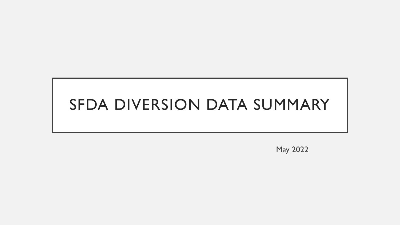# SFDA DIVERSION DATA SUMMARY

May 2022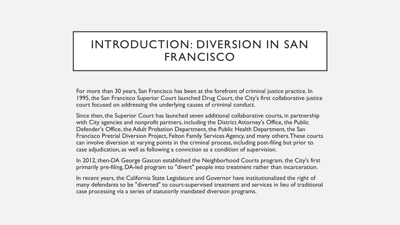# INTRODUCTION: DIVERSION IN SAN FRANCISCO

For more than 30 years, San Francisco has been at the forefront of criminal justice practice. In 1995, the San Francisco Superior Court launched Drug Court, the City's first collaborative justice court focused on addressing the underlying causes of criminal conduct.

Since then, the Superior Court has launched seven additional collaborative courts, in partnership with City agencies and nonprofit partners, including the District Attorney's Office, the Public Defender's Office, the Adult Probation Department, the Public Health Department, the San Francisco Pretrial Diversion Project, Felton Family Services Agency, and many others. These courts can involve diversion at varying points in the criminal process, including post-filing but prior to case adjudication, as well as following a conviction as a condition of supervision.

In 2012, then-DA George Gascon established the Neighborhood Courts program, the City's first primarily pre-filing, DA-led program to "divert" people into treatment rather than incarceration.

In recent years, the California State Legislature and Governor have institutionalized the right of many defendants to be "diverted" to court-supervised treatment and services in lieu of traditional case processing via a series of statutorily mandated diversion programs.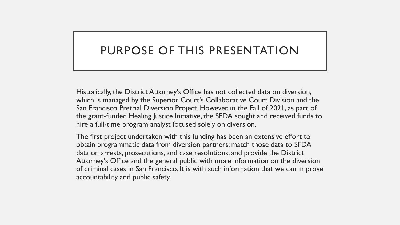## PURPOSE OF THIS PRESENTATION

Historically, the District Attorney's Office has not collected data on diversion, which is managed by the Superior Court's Collaborative Court Division and the San Francisco Pretrial Diversion Project. However, in the Fall of 2021, as part of the grant-funded Healing Justice Initiative, the SFDA sought and received funds to hire a full-time program analyst focused solely on diversion.

The first project undertaken with this funding has been an extensive effort to obtain programmatic data from diversion partners; match those data to SFDA data on arrests, prosecutions, and case resolutions; and provide the District Attorney's Office and the general public with more information on the diversion of criminal cases in San Francisco. It is with such information that we can improve accountability and public safety.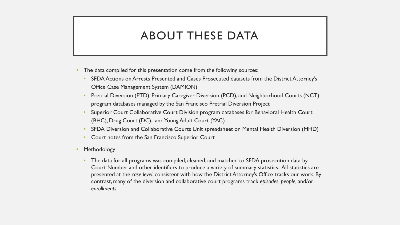## ABOUT THESE DATA

- The data compiled for this presentation come from the following sources:
	- SFDA Actions on Arrests Presented and Cases Prosecuted datasets from the District Attorney's Office Case Management System (DAMION)
	- Pretrial Diversion (PTD), Primary Caregiver Diversion (PCD), and Neighborhood Courts (NCT) program databases managed by the San Francisco Pretrial Diversion Project
	- Superior Court Collaborative Court Division program databases for Behavioral Health Court (BHC), Drug Court (DC), and Young Adult Court (YAC)
	- SFDA Diversion and Collaborative Courts Unit spreadsheet on Mental Health Diversion (MHD)
	- Court notes from the San Francisco Superior Court
- **Methodology** 
	- The data for all programs was compiled, cleaned, and matched to SFDA prosecution data by Court Number and other identifiers to produce a variety of summary statistics. All statistics are presented at the *case level*, consistent with how the District Attorney's Office tracks our work. By contrast, many of the diversion and collaborative court programs track *episodes, people,* and/or *enrollments.*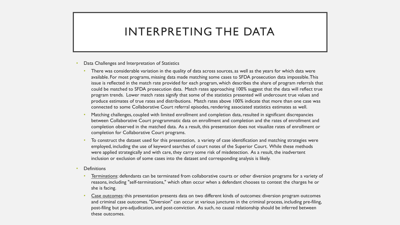## INTERPRETING THE DATA

- Data Challenges and Interpretation of Statistics
	- There was considerable variation in the quality of data across sources, as well as the years for which data were available. For most programs, missing data made matching some cases to SFDA prosecution data impossible. This issue is reflected in the match rate provided for each program, which describes the share of program referrals that could be matched to SFDA prosecution data. Match rates approaching 100% suggest that the data will reflect true program trends. Lower match rates signify that some of the statistics presented will undercount true values and produce estimates of true rates and distributions. Match rates above 100% indicate that more than one case was connected to some Collaborative Court referral episodes, rendering associated statistics estimates as well.
	- Matching challenges, coupled with limited enrollment and completion data, resulted in significant discrepancies between Collaborative Court programmatic data on enrollment and completion and the rates of enrollment and completion observed in the matched data. As a result, this presentation does not visualize rates of enrollment or completion for Collaborative Court programs.
	- To construct the dataset used for this presentation, a variety of case identification and matching strategies were employed, including the use of keyword searches of court notes of the Superior Court. While these methods were applied strategically and with care, they carry some risk of misdetection. As a result, the inadvertent inclusion or exclusion of some cases into the dataset and corresponding analysis is likely.
- **Definitions** 
	- Terminations: defendants can be terminated from collaborative courts or other diversion programs for a variety of reasons, including "self-terminations," which often occur when a defendant chooses to contest the charges he or she is facing.
	- Case outcomes: this presentation presents data on two different kinds of outcomes: diversion program outcomes and criminal case outcomes. "Diversion" can occur at various junctures in the criminal process, including pre-filing, post-filing but pre-adjudication, and post-conviction. As such, no causal relationship should be inferred between these outcomes.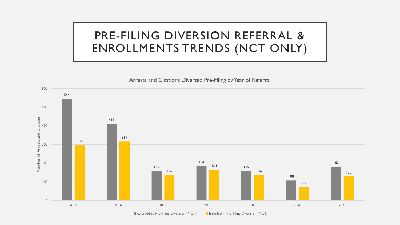## PRE-FILING DIVERSION REFERRAL & ENROLLMENTS TRENDS (NCT ONLY)



■ Referred to Pre-Filing Diversion (NCT) ■ Enrolled in Pre-Filing Diversion (NCT)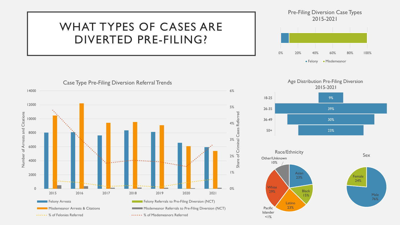# WHAT TYPES OF CASES ARE DIVERTED PRE-FILING?





Age Distribution Pre-Filing Diversion 2015-2021





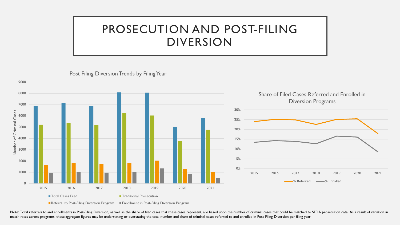## PROSECUTION AND POST-FILING DIVERSION

0% 5% 10% 15% 20% 25% 30% 2015 2016 2017 2018 2019 2020 2021 Share of Filed Cases Referred and Enrolled in Diversion Programs 0 Referred Windows & Enrolled Contracts and the Contracts of the Contracts of the Contracts of the Contracts of the Contracts of the Contracts of the Contracts of the Contracts of the Contracts of the Contracts of the Cont 1000 2000 3000 4000 5000 6000 7000 8000 9000 2015 2016 2017 2018 2019 2020 2021 Number of Criminal Cases ■ Total Cases Filed Traditional Prosecution

Post Filing Diversion Trends by Filing Year

■ Referral to Post-Filing Diversion Program ■ Enrollment in Post-Filing Diversion Program

Note: Total referrals to and enrollments in Post-Filing Diversion, as well as the share of filed cases that these cases represent, are based upon the number of criminal cases that could be matched to SFDA prosecution data. match rates across programs, these aggregate figures may be understating or overstating the total number and share of criminal cases referred to and enrolled in Post-Filing Diversion per filing year.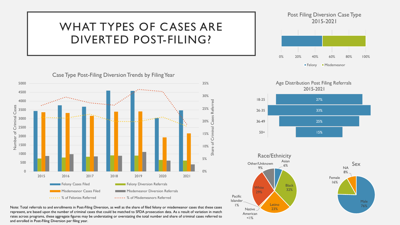# WHAT TYPES OF CASES ARE DIVERTED POST-FILING?



Note: Total referrals to and enrollments in Post-Filing Diversion, as well as the share of filed felony or misdemeanor cases that these cases represent, are based upon the number of criminal cases that could be matched to SFDA prosecution data. As a result of variation in match rates across programs, these aggregate figures may be understating or overstating the total number and share of criminal cases referred to and enrolled in Post-Filing Diversion per filing year.

#### Post Filing Diversion Case Type 2015-2021





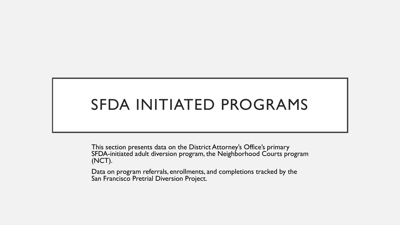# SFDA INITIATED PROGRAMS

This section presents data on the District Attorney's Office's primary SFDA-initiated adult diversion program, the Neighborhood Courts program (NCT).

Data on program referrals, enrollments, and completions tracked by the San Francisco Pretrial Diversion Project.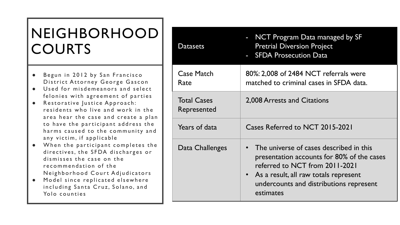# NEIGHBORHOOD **COURTS**

- Begun in 2012 by San Francisco District Attorney George Gascon
- Used for misdemeanors and select felonies with agreement of parties
- Restorative Justice Approach: residents who live and work in the area hear the case and create a plan to have the participant address the harms caused to the community and any victim, if applicable
- When the participant completes the directives, the SFDA discharges or dismisses the case on the recommendation of the Neighborhood Court Adjudicators
- Model since replicated elsewhere including Santa Cruz, Solano, and Yolo counties

| <b>Datasets</b>                   | NCT Program Data managed by SF<br><b>Pretrial Diversion Project</b><br>- SFDA Prosecution Data                                                                                                                             |
|-----------------------------------|----------------------------------------------------------------------------------------------------------------------------------------------------------------------------------------------------------------------------|
| <b>Case Match</b><br>Rate         | 80%: 2,008 of 2484 NCT referrals were<br>matched to criminal cases in SFDA data.                                                                                                                                           |
| <b>Total Cases</b><br>Represented | 2,008 Arrests and Citations                                                                                                                                                                                                |
| Years of data                     | Cases Referred to NCT 2015-2021                                                                                                                                                                                            |
| Data Challenges                   | The universe of cases described in this<br>presentation accounts for 80% of the cases<br>referred to NCT from 2011-2021<br>• As a result, all raw totals represent<br>undercounts and distributions represent<br>estimates |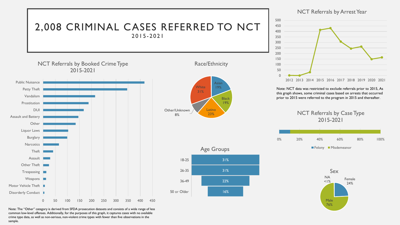

Note: The "Other" category is derived from SFDA prosecution datasets and consists of a wide range of less common low-level offenses. Additionally, for the purposes of this graph, it captures cases with no available crime type data, as well as non-serious, non-violent crime types with fewer than five observations in the sample.

#### NCT Referrals by Arrest Year



Note: NCT data was restricted to exclude referrals prior to 2015, As this graph shows, some criminal cases based on arrests that occurred prior to 2015 were referred to the program in 2015 and thereafter.

> NCT Referrals by Case Type 2015-2021



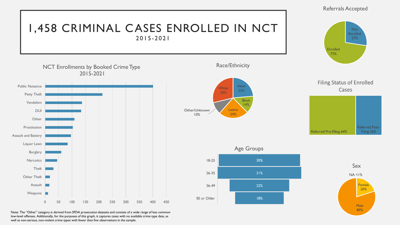### 1,458 CRIMINAL CASES ENROLLED IN NCT 2015 - 2021

Not Enrolled

Referrals Accepted

**Enrolled** 73%

Referred Pre-Filing 64%

27%





Race/Ethnicity





**Age Groups**  $18 - 25$ 30%  $26 - 35$ 31% 36-49 22% 50 or Older 18%



**Referred Post-**Filing 36%

Note: The "Other" category is derived from SFDA prosecution datasets and consists of a wide range of less common low-level offenses. Additionally, for the purposes of this graph, it captures cases with no available crime type data, as well as non-serious, non-violent crime types with fewer than five observations in the sample.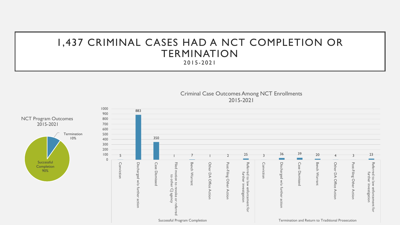### 1,437 CRIMINAL CASES HAD A NCT COMPLETION OR TERMINATION 2015 - 2021

Criminal Case Outcomes Among NCT Enrollments

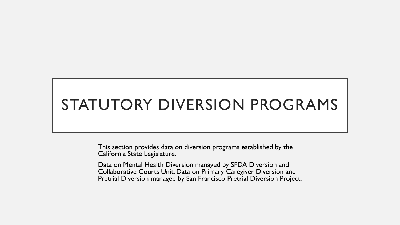# STATUTORY DIVERSION PROGRAMS

This section provides data on diversion programs established by the California State Legislature.

Data on Mental Health Diversion managed by SFDA Diversion and Collaborative Courts Unit. Data on Primary Caregiver Diversion and Pretrial Diversion managed by San Francisco Pretrial Diversion Project.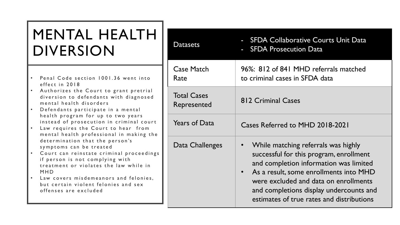# MENTAL HEALTH DIVERSION

- Penal Code section 1001.36 went into effect in 2018
- Authorizes the Court to grant pretrial diversion to defendants with diagnosed mental health disorders
- Defendants participate in a mental health program for up to two years instead of prosecution in criminal court
- Law requires the Court to hear from mental health professional in making the determination that the person's symptoms can be treated
- Court can reinstate criminal proceedings if person is not complying with treatment or violates the law while in MHD
- L aw covers misdemeanors and felonies, but certain violent felonies and sex offenses are excluded

| <b>Datasets</b>                   | - SFDA Collaborative Courts Unit Data<br>- SFDA Prosecution Data                                                                                                                                                                                                                                    |
|-----------------------------------|-----------------------------------------------------------------------------------------------------------------------------------------------------------------------------------------------------------------------------------------------------------------------------------------------------|
| <b>Case Match</b><br>Rate         | 96%: 812 of 841 MHD referrals matched<br>to criminal cases in SFDA data                                                                                                                                                                                                                             |
| <b>Total Cases</b><br>Represented | <b>812 Criminal Cases</b>                                                                                                                                                                                                                                                                           |
| <b>Years of Data</b>              | Cases Referred to MHD 2018-2021                                                                                                                                                                                                                                                                     |
| Data Challenges                   | While matching referrals was highly<br>successful for this program, enrollment<br>and completion information was limited<br>As a result, some enrollments into MHD<br>were excluded and data on enrollments<br>and completions display undercounts and<br>estimates of true rates and distributions |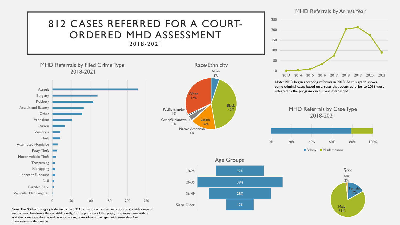

Note: The "Other" category is derived from SFDA prosecution datasets and consists of a wide range of less common low-level offenses. Additionally, for the purposes of this graph, it captures cases with no available crime type data, as well as non-serious, non-violent crime types with fewer than five observations in the sample.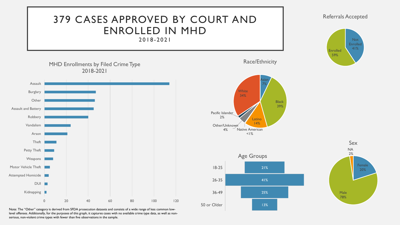

Note: The "Other" category is derived from SFDA prosecution datasets and consists of a wide range of less common lowlevel offenses. Additionally, for the purposes of this graph, it captures cases with no available crime type data, as well as nonserious, non-violent crime types with fewer than five observations in the sample.

#### Referrals Accepted



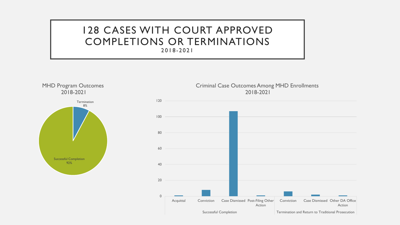### 128 CASES WITH COURT APPROVED COMPLETIONS OR TERMINATIONS 2018 - 2021

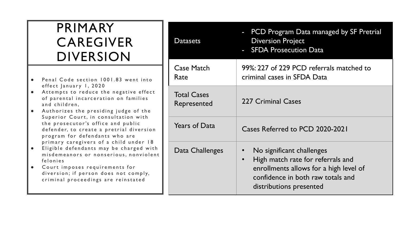# PRIMARY CAREGIVER DIVERSION

- Penal Code section 1001.83 went into effect January 1, 2020
- Attempts to reduce the negative effect of parental incarceration on families and children,
- Authorizes the presiding judge of the Superior Court, in consultation with the prosecutor's office and public defender, to create a pretrial diversion program for defendants who are primary caregivers of a child under 18
- E ligible defendants may be charged with misdemeanors or nonserious, nonviolent felonies
- C ourt imposes requirements for diversion; if person does not comply, criminal proceedings are reinstated

| <b>Datasets</b>                   | PCD Program Data managed by SF Pretrial<br>$\blacksquare$<br><b>Diversion Project</b><br>- SFDA Prosecution Data                                                                                   |
|-----------------------------------|----------------------------------------------------------------------------------------------------------------------------------------------------------------------------------------------------|
| <b>Case Match</b><br>Rate         | 99%: 227 of 229 PCD referrals matched to<br>criminal cases in SFDA Data                                                                                                                            |
| <b>Total Cases</b><br>Represented | 227 Criminal Cases                                                                                                                                                                                 |
| <b>Years of Data</b>              | Cases Referred to PCD 2020-2021                                                                                                                                                                    |
| Data Challenges                   | No significant challenges<br>$\bullet$<br>High match rate for referrals and<br>$\bullet$<br>enrollments allows for a high level of<br>confidence in both raw totals and<br>distributions presented |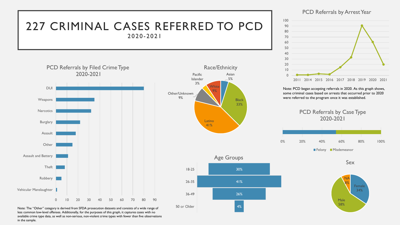### 227 CRIMINAL CASES REFERRED TO PCD 2020 - 2021



Note: The "Other" category is derived from SFDA prosecution datasets and consists of a wide range of less common low-level offenses. Additionally, for the purposes of this graph, it captures cases with no available crime type data, as well as non-serious, non-violent crime types with fewer than five observations in the sample.





#### PCD Referrals by Arrest Year



Note: PCD began accepting referrals in 2020. As this graph shows, some criminal cases based on arrests that occurred prior to 2020 were referred to the program once it was established.





Sex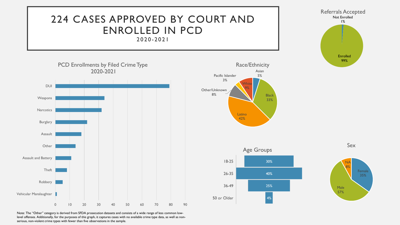

Note: The "Other" category is derived from SFDA prosecution datasets and consists of a wide range of less common lowlevel offenses. Additionally, for the purposes of this graph, it captures cases with no available crime type data, as well as nonserious, non-violent crime types with fewer than five observations in the sample.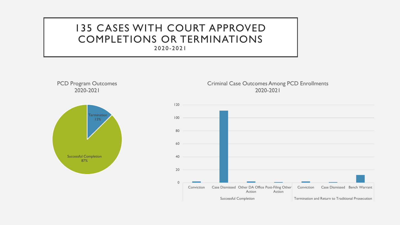### 135 CASES WITH COURT APPROVED COMPLETIONS OR TERMINATIONS 2020 - 2021

PCD Program Outcomes 2020-2021



Criminal Case Outcomes Among PCD Enrollments 2020-2021

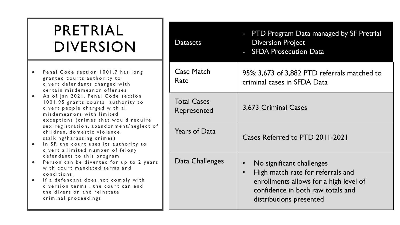# PRETRIAL DIVERSION

- Penal Code section 1001.7 has long granted courts authority to divert defendants charged with certain misdemeanor offenses
- As of Jan 2021, Penal Code section 1001.95 grants courts authority to divert people charged with all misdemeanors with limited exceptions (crimes that would require sex registration, abandonment/neglect of children, domestic violence, stalking/harassing crimes)
- . In SF, the court uses its authority to divert a limited number of felony defendants to this program
- Person can be diverted for up to 2 years with court mandated terms and conditions,
- If a defendant does not comply with diversion terms , the court can end the diversion and reinstate criminal proceedings

| <b>Datasets</b>                   | PTD Program Data managed by SF Pretrial<br><b>Diversion Project</b><br>- SFDA Prosecution Data                                                                                        |
|-----------------------------------|---------------------------------------------------------------------------------------------------------------------------------------------------------------------------------------|
| <b>Case Match</b><br>Rate         | 95%: 3,673 of 3,882 PTD referrals matched to<br>criminal cases in SFDA Data                                                                                                           |
| <b>Total Cases</b><br>Represented | 3,673 Criminal Cases                                                                                                                                                                  |
| <b>Years of Data</b>              | Cases Referred to PTD 2011-2021                                                                                                                                                       |
| Data Challenges                   | No significant challenges<br>High match rate for referrals and<br>$\bullet$<br>enrollments allows for a high level of<br>confidence in both raw totals and<br>distributions presented |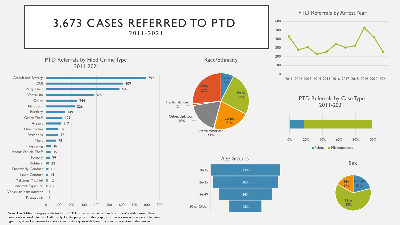

Note: The "Other" category is derived from SFDA prosecution datasets and consists of a wide range of less common low-level offenses. Additionally, for the purposes of this graph, it captures cases with no available crime type data, as well as non-serious, non-violent crime types with fewer than ten observations in the sample.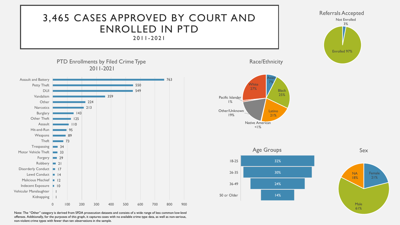### 3,465 CASES APPROVED BY COURT AND ENROLLED IN PTD 2011 - 2021



PTD Enrollments by Filed Crime Type 2011-2021



Note: The "Other" category is derived from SFDA prosecution datasets and consists of a wide range of less common low-level offenses. Additionally, for the purposes of this graph, it captures cases with no available crime type data, as well as non-serious, non-violent crime types with fewer than ten observations in the sample.

Race/Ethnicity





Sex

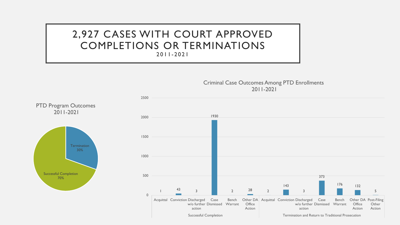## 2,927 CASES WITH COURT APPROVED COMPLETIONS OR TERMINATIONS

2011 - 2021

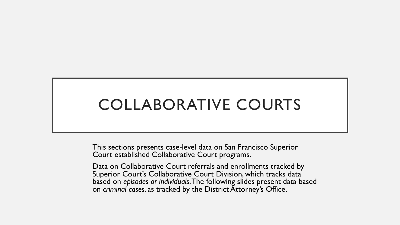# COLLABORATIVE COURTS

This sections presents case-level data on San Francisco Superior Court established Collaborative Court programs.

Data on Collaborative Court referrals and enrollments tracked by Superior Court's Collaborative Court Division, which tracks data based on *episodes or individuals*. The following slides present data based on *criminal cases*, as tracked by the District Attorney's Office.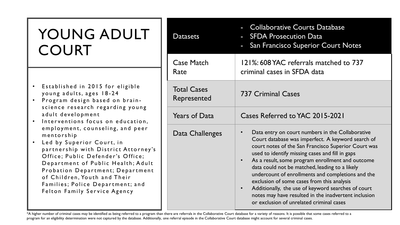# YOUNG ADULT COURT

- Established in 2015 for eligible young adults, ages 18 - 2 4
- Program design based on brain science research regarding young adult development
- Interventions focus on education, employment, counseling, and peer mentorship
- Led by Superior Court, in partnership with District Attorney's Office; Public Defender's Office; Department of Public Health; Adult Probation Department; Department of Children, Youth and Their Families; Police Department; and Felton Family Service Agency

| <b>Datasets</b>                   | <b>Collaborative Courts Database</b><br><b>SFDA Prosecution Data</b><br>San Francisco Superior Court Notes<br>п                                                                                                                                                                                                                                                                                                                                                                                                                                                                                                           |
|-----------------------------------|---------------------------------------------------------------------------------------------------------------------------------------------------------------------------------------------------------------------------------------------------------------------------------------------------------------------------------------------------------------------------------------------------------------------------------------------------------------------------------------------------------------------------------------------------------------------------------------------------------------------------|
| <b>Case Match</b><br>Rate         | 121%: 608 YAC referrals matched to 737<br>criminal cases in SFDA data                                                                                                                                                                                                                                                                                                                                                                                                                                                                                                                                                     |
| <b>Total Cases</b><br>Represented | <b>737 Criminal Cases</b>                                                                                                                                                                                                                                                                                                                                                                                                                                                                                                                                                                                                 |
| <b>Years of Data</b>              | Cases Referred to YAC 2015-2021                                                                                                                                                                                                                                                                                                                                                                                                                                                                                                                                                                                           |
| Data Challenges                   | Data entry on court numbers in the Collaborative<br>$\bullet$<br>Court database was imperfect. A keyword search of<br>court notes of the San Francisco Superior Court was<br>used to identify missing cases and fill in gaps<br>As a result, some program enrollment and outcome<br>$\bullet$<br>data could not be matched, leading to a likely<br>undercount of enrollments and completions and the<br>exclusion of some cases from this analysis<br>Additionally, the use of keyword searches of court<br>$\bullet$<br>notes may have resulted in the inadvertent inclusion<br>or exclusion of unrelated criminal cases |

<sup>\*</sup>A higher number of criminal cases may be identified as being referred to a program than there are referrals in the Collaborative Court database for a variety of reasons. It is possible that some cases referred to a program for an eligibility determination were not captured by the database. Additionally, one referral episode in the Collaborative Court database might account for several criminal cases.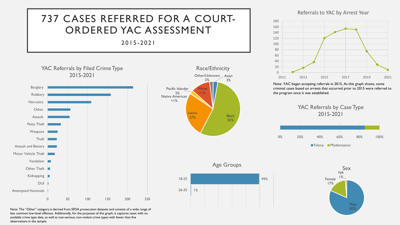## 737 CASES REFERRED FOR A COURT-ORDERED YAC ASSESSMENT

### 2015 - 2021



Referrals to YAC by Arrest Year



Note: YAC began accepting referrals in 2015, As this graph shows, some criminal cases based on arrests that occurred prior to 2015 were referred to the program once it was established.



99%

**Black** 55%



Note: The "Other" category is derived from SFDA prosecution datasets and consists of a wide range of less common low-level offenses. Additionally, for the purposes of this graph, it captures cases with no available crime type data, as well as non-serious, non-violent crime types with fewer than five observations in the sample.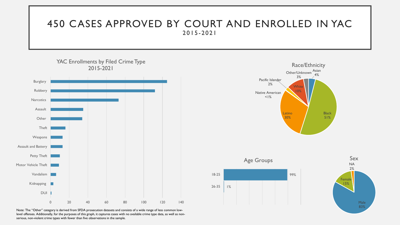### 450 CASES APPROVED BY COURT AND ENROLLED IN YAC 2015 - 2021



Note: The "Other" category is derived from SFDA prosecution datasets and consists of a wide range of less common lowlevel offenses. Additionally, for the purposes of this graph, it captures cases with no available crime type data, as well as nonserious, non-violent crime types with fewer than five observations in the sample.



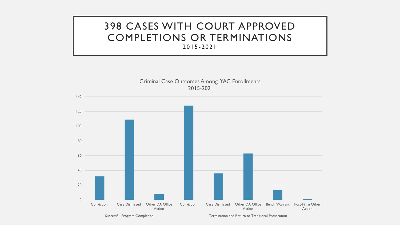### 398 CASES WITH COURT APPROVED COMPLETIONS OR TERMINATIONS 2015 - 2021

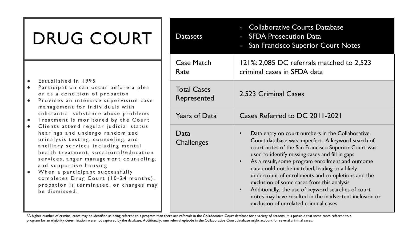# DRUG COURT

- Established in 1995
- Participation can occur before a plea or as a condition of probation
- **•** Provides an intensive supervision case management for individuals with substantial substance abuse problems
- Treatment is monitored by the Court
- Clients attend regular judicial status hearings and undergo randomized urinalysis testing, counseling, and ancillary services including mental health treatment, vocational/education services, anger management counseling, and supportive housing
- When a participant successfully completes Drug Court (10-24 months), probation is terminated, or charges may be dismissed .

| <b>Datasets</b>                   | <b>Collaborative Courts Database</b><br><b>SFDA Prosecution Data</b><br>$\blacksquare$<br>San Francisco Superior Court Notes                                                                                                                                                                                                                                                                                                                                                                                                                                                                                              |
|-----------------------------------|---------------------------------------------------------------------------------------------------------------------------------------------------------------------------------------------------------------------------------------------------------------------------------------------------------------------------------------------------------------------------------------------------------------------------------------------------------------------------------------------------------------------------------------------------------------------------------------------------------------------------|
| <b>Case Match</b><br>Rate         | 121%: 2,085 DC referrals matched to 2,523<br>criminal cases in SFDA data                                                                                                                                                                                                                                                                                                                                                                                                                                                                                                                                                  |
| <b>Total Cases</b><br>Represented | 2,523 Criminal Cases                                                                                                                                                                                                                                                                                                                                                                                                                                                                                                                                                                                                      |
| <b>Years of Data</b>              | Cases Referred to DC 2011-2021                                                                                                                                                                                                                                                                                                                                                                                                                                                                                                                                                                                            |
| Data<br><b>Challenges</b>         | Data entry on court numbers in the Collaborative<br>$\bullet$<br>Court database was imperfect. A keyword search of<br>court notes of the San Francisco Superior Court was<br>used to identify missing cases and fill in gaps<br>As a result, some program enrollment and outcome<br>$\bullet$<br>data could not be matched, leading to a likely<br>undercount of enrollments and completions and the<br>exclusion of some cases from this analysis<br>Additionally, the use of keyword searches of court<br>$\bullet$<br>notes may have resulted in the inadvertent inclusion or<br>exclusion of unrelated criminal cases |

<sup>\*</sup>A higher number of criminal cases may be identified as being referred to a program than there are referrals in the Collaborative Court database for a variety of reasons. It is possible that some cases referred to a program for an eligibility determination were not captured by the database. Additionally, one referral episode in the Collaborative Court database might account for several criminal cases.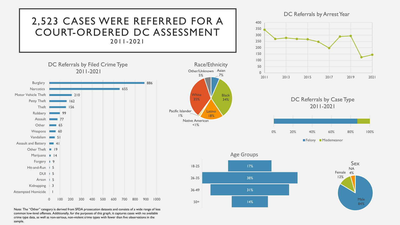

common low-level offenses. Additionally, for the purposes of this graph, it captures cases with no available crime type data, as well as non-serious, non-violent crime types with fewer than five observations in the sample.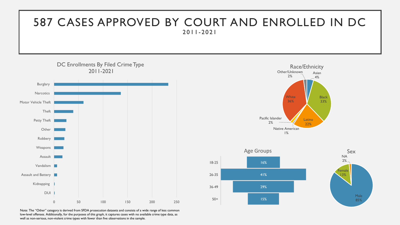## 587 CASES APPROVED BY COURT AND ENROLLED IN DC 2011 - 2021



Male 85%

Note: The "Other" category is derived from SFDA prosecution datasets and consists of a wide range of less common low-level offenses. Additionally, for the purposes of this graph, it captures cases with no available crime type data, as well as non-serious, non-violent crime types with fewer than five observations in the sample.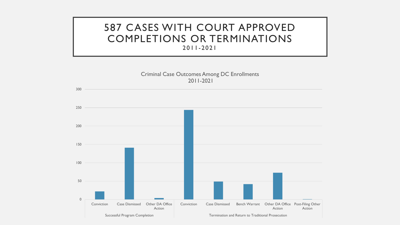### 587 CASES WITH COURT APPROVED COMPLETIONS OR TERMINATIONS 2011 - 2021



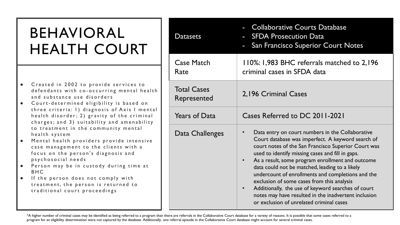# BEHAVIORAL HEALTH COURT

- Created in 2002 to provide services to defendants with co-occurring mental health and substance use disorders
- Court determined e ligibility is based on three criteria: 1) diagnosis of Axis I mental health disorder; 2) gravity of the criminal charges; and 3) suitability and amenability to treatment in the community mental health system
- Mental health providers provide intensive case management to the clients with a focus on the person's diagnosis and psychosocial needs
- Person may be in custody during time at BHC
- If the person does not comply with treatment, the person is returned to traditional court proceedings

| <b>Datasets</b>                   | <b>Collaborative Courts Database</b><br><b>SFDA Prosecution Data</b><br>San Francisco Superior Court Notes                                                                                                                                                                                                                                                                                                                                                                                                                                                                                       |
|-----------------------------------|--------------------------------------------------------------------------------------------------------------------------------------------------------------------------------------------------------------------------------------------------------------------------------------------------------------------------------------------------------------------------------------------------------------------------------------------------------------------------------------------------------------------------------------------------------------------------------------------------|
| <b>Case Match</b><br>Rate         | 110%: 1,983 BHC referrals matched to 2,196<br>criminal cases in SFDA data                                                                                                                                                                                                                                                                                                                                                                                                                                                                                                                        |
| <b>Total Cases</b><br>Represented | 2,196 Criminal Cases                                                                                                                                                                                                                                                                                                                                                                                                                                                                                                                                                                             |
| <b>Years of Data</b>              | Cases Referred to DC 2011-2021                                                                                                                                                                                                                                                                                                                                                                                                                                                                                                                                                                   |
| Data Challenges                   | Data entry on court numbers in the Collaborative<br>Court database was imperfect. A keyword search of<br>court notes of the San Francisco Superior Court was<br>used to identify missing cases and fill in gaps.<br>As a result, some program enrollment and outcome<br>$\bullet$<br>data could not be matched, leading to a likely<br>undercount of enrollments and completions and the<br>exclusion of some cases from this analysis<br>Additionally, the use of keyword searches of court<br>notes may have resulted in the inadvertent inclusion<br>or exclusion of unrelated criminal cases |

<sup>\*</sup>A higher number of criminal cases may be identified as being referred to a program than there are referrals in the Collaborative Court database for a variety of reasons. It is possible that some cases referred to a program for an eligibility determination were not captured by the database. Additionally, one referral episode in the Collaborative Court database might account for several criminal cases.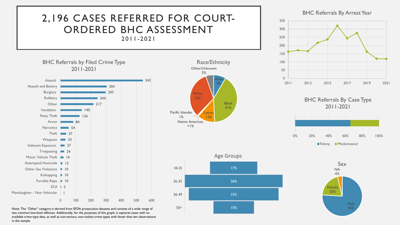

Note: The "Other" category is derived from SFDA prosecution datasets and consists of a wide range of less common low-level offenses. Additionally, for the purposes of this graph, it captures cases with no available crime type data, as well as non-serious, non-violent crime types with fewer than ten observations in the sample.



76%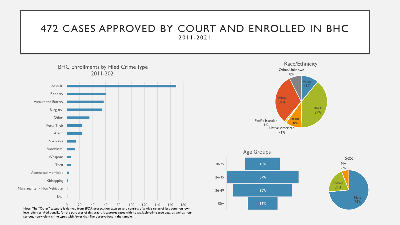### 472 CASES APPROVED BY COURT AND ENROLLED IN BHC 2011 - 2021



Note: The "Other" category is derived from SFDA prosecution datasets and consists of a wide range of less common lowlevel offenses. Additionally, for the purposes of this graph, it captures cases with no available crime type data, as well as nonserious, non-violent crime types with fewer than five observations in the sample.



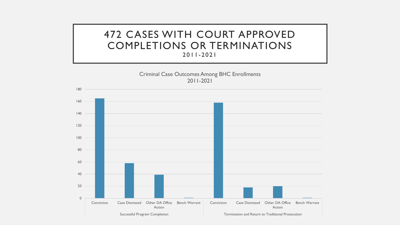### 472 CASES WITH COURT APPROVED COMPLETIONS OR TERMINATIONS 2011 - 2021

Criminal Case Outcomes Among BHC Enrollments 2011-2021